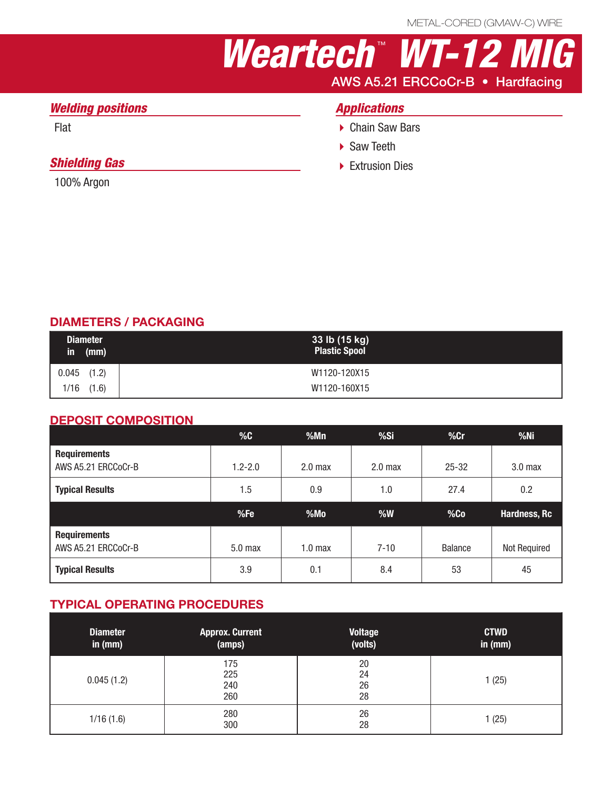# *Weartech* ™  *WT-12 MIG* AWS A5.21 ERCCoCr-B • Hardfacing

## *Welding positions*

Flat

## *Shielding Gas*

100% Argon

# *Applications*

- ▶ Chain Saw Bars
- ▶ Saw Teeth
- ▶ Extrusion Dies

### DIAMETERS / PACKAGING

| <b>Diameter</b><br>in<br>(mm) | 33 lb (15 kg)<br><b>Plastic Spool</b> |
|-------------------------------|---------------------------------------|
| $0.045$ (1.2)                 | W1120-120X15                          |
| (1.6)<br>1/16                 | W1120-160X15                          |

#### DEPOSIT COMPOSITION

|                                            | %C          | %Mn                | %Si                | $%$ Cr         | $%$ Ni             |
|--------------------------------------------|-------------|--------------------|--------------------|----------------|--------------------|
| <b>Requirements</b><br>AWS A5.21 ERCCoCr-B | $1.2 - 2.0$ | 2.0 <sub>max</sub> | 2.0 <sub>max</sub> | $25 - 32$      | 3.0 <sub>max</sub> |
| <b>Typical Results</b>                     | 1.5         | 0.9                | 1.0                | 27.4           | 0.2                |
|                                            |             |                    |                    |                |                    |
|                                            | %Fe         | %Mo                | %W                 | %Co            | Hardness, Rc       |
| <b>Requirements</b><br>AWS A5.21 ERCCoCr-B | $5.0$ max   | 1.0 <sub>max</sub> | $7 - 10$           | <b>Balance</b> | Not Required       |

#### TYPICAL OPERATING PROCEDURES

| <b>Diameter</b><br>in $(mm)$ | <b>Approx. Current</b><br>(amps) | <b>Voltage</b><br>(volts) | <b>CTWD</b><br>in $(mm)$ |
|------------------------------|----------------------------------|---------------------------|--------------------------|
| 0.045(1.2)                   | 175<br>225<br>240<br>260         | 20<br>24<br>26<br>28      | 1 (25)                   |
| 1/16(1.6)                    | 280<br>300                       | 26<br>28                  | 1 (25)                   |